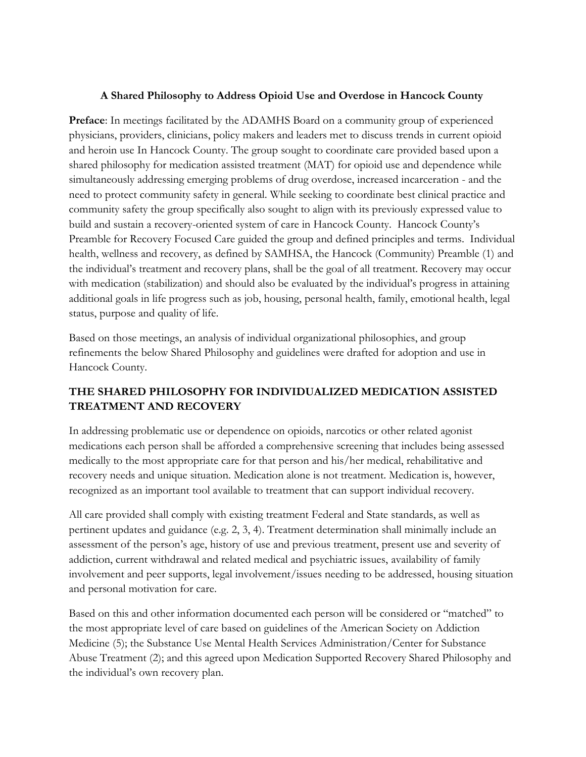### **A Shared Philosophy to Address Opioid Use and Overdose in Hancock County**

**Preface**: In meetings facilitated by the ADAMHS Board on a community group of experienced physicians, providers, clinicians, policy makers and leaders met to discuss trends in current opioid and heroin use In Hancock County. The group sought to coordinate care provided based upon a shared philosophy for medication assisted treatment (MAT) for opioid use and dependence while simultaneously addressing emerging problems of drug overdose, increased incarceration - and the need to protect community safety in general. While seeking to coordinate best clinical practice and community safety the group specifically also sought to align with its previously expressed value to build and sustain a recovery-oriented system of care in Hancock County. Hancock County's Preamble for Recovery Focused Care guided the group and defined principles and terms. Individual health, wellness and recovery, as defined by SAMHSA, the Hancock (Community) Preamble (1) and the individual's treatment and recovery plans, shall be the goal of all treatment. Recovery may occur with medication (stabilization) and should also be evaluated by the individual's progress in attaining additional goals in life progress such as job, housing, personal health, family, emotional health, legal status, purpose and quality of life.

Based on those meetings, an analysis of individual organizational philosophies, and group refinements the below Shared Philosophy and guidelines were drafted for adoption and use in Hancock County.

# **THE SHARED PHILOSOPHY FOR INDIVIDUALIZED MEDICATION ASSISTED TREATMENT AND RECOVERY**

In addressing problematic use or dependence on opioids, narcotics or other related agonist medications each person shall be afforded a comprehensive screening that includes being assessed medically to the most appropriate care for that person and his/her medical, rehabilitative and recovery needs and unique situation. Medication alone is not treatment. Medication is, however, recognized as an important tool available to treatment that can support individual recovery.

All care provided shall comply with existing treatment Federal and State standards, as well as pertinent updates and guidance (e.g. 2, 3, 4). Treatment determination shall minimally include an assessment of the person's age, history of use and previous treatment, present use and severity of addiction, current withdrawal and related medical and psychiatric issues, availability of family involvement and peer supports, legal involvement/issues needing to be addressed, housing situation and personal motivation for care.

Based on this and other information documented each person will be considered or "matched" to the most appropriate level of care based on guidelines of the American Society on Addiction Medicine (5); the Substance Use Mental Health Services Administration/Center for Substance Abuse Treatment (2); and this agreed upon Medication Supported Recovery Shared Philosophy and the individual's own recovery plan.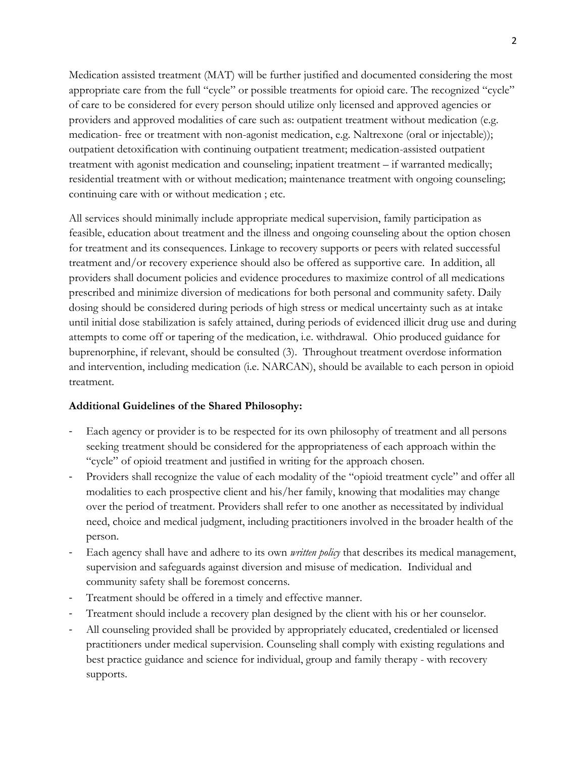Medication assisted treatment (MAT) will be further justified and documented considering the most appropriate care from the full "cycle" or possible treatments for opioid care. The recognized "cycle" of care to be considered for every person should utilize only licensed and approved agencies or providers and approved modalities of care such as: outpatient treatment without medication (e.g. medication- free or treatment with non-agonist medication, e.g. Naltrexone (oral or injectable)); outpatient detoxification with continuing outpatient treatment; medication-assisted outpatient treatment with agonist medication and counseling; inpatient treatment – if warranted medically; residential treatment with or without medication; maintenance treatment with ongoing counseling; continuing care with or without medication ; etc.

All services should minimally include appropriate medical supervision, family participation as feasible, education about treatment and the illness and ongoing counseling about the option chosen for treatment and its consequences. Linkage to recovery supports or peers with related successful treatment and/or recovery experience should also be offered as supportive care. In addition, all providers shall document policies and evidence procedures to maximize control of all medications prescribed and minimize diversion of medications for both personal and community safety. Daily dosing should be considered during periods of high stress or medical uncertainty such as at intake until initial dose stabilization is safely attained, during periods of evidenced illicit drug use and during attempts to come off or tapering of the medication, i.e. withdrawal. Ohio produced guidance for buprenorphine, if relevant, should be consulted (3). Throughout treatment overdose information and intervention, including medication (i.e. NARCAN), should be available to each person in opioid treatment.

## **Additional Guidelines of the Shared Philosophy:**

- Each agency or provider is to be respected for its own philosophy of treatment and all persons seeking treatment should be considered for the appropriateness of each approach within the "cycle" of opioid treatment and justified in writing for the approach chosen.
- Providers shall recognize the value of each modality of the "opioid treatment cycle" and offer all modalities to each prospective client and his/her family, knowing that modalities may change over the period of treatment. Providers shall refer to one another as necessitated by individual need, choice and medical judgment, including practitioners involved in the broader health of the person.
- Each agency shall have and adhere to its own *written policy* that describes its medical management, supervision and safeguards against diversion and misuse of medication. Individual and community safety shall be foremost concerns.
- Treatment should be offered in a timely and effective manner.
- Treatment should include a recovery plan designed by the client with his or her counselor.
- All counseling provided shall be provided by appropriately educated, credentialed or licensed practitioners under medical supervision. Counseling shall comply with existing regulations and best practice guidance and science for individual, group and family therapy - with recovery supports.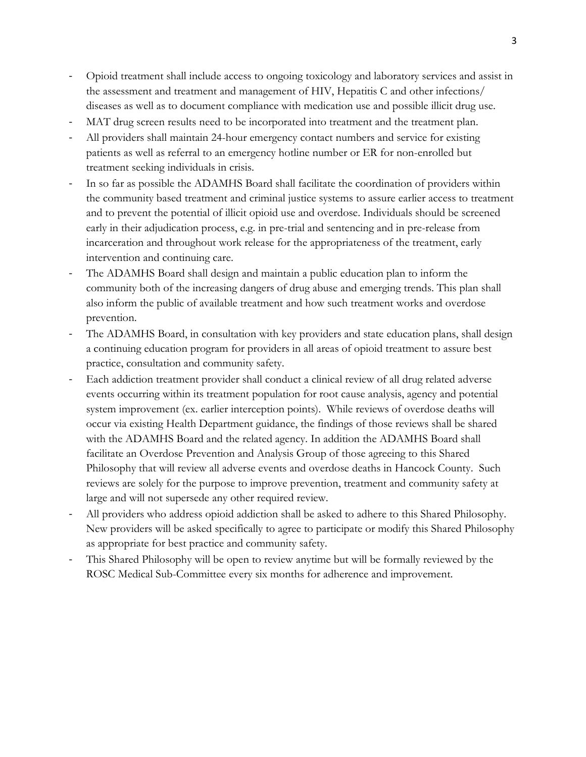- Opioid treatment shall include access to ongoing toxicology and laboratory services and assist in the assessment and treatment and management of HIV, Hepatitis C and other infections/ diseases as well as to document compliance with medication use and possible illicit drug use.
- MAT drug screen results need to be incorporated into treatment and the treatment plan.
- All providers shall maintain 24-hour emergency contact numbers and service for existing patients as well as referral to an emergency hotline number or ER for non-enrolled but treatment seeking individuals in crisis.
- In so far as possible the ADAMHS Board shall facilitate the coordination of providers within the community based treatment and criminal justice systems to assure earlier access to treatment and to prevent the potential of illicit opioid use and overdose. Individuals should be screened early in their adjudication process, e.g. in pre-trial and sentencing and in pre-release from incarceration and throughout work release for the appropriateness of the treatment, early intervention and continuing care.
- The ADAMHS Board shall design and maintain a public education plan to inform the community both of the increasing dangers of drug abuse and emerging trends. This plan shall also inform the public of available treatment and how such treatment works and overdose prevention.
- The ADAMHS Board, in consultation with key providers and state education plans, shall design a continuing education program for providers in all areas of opioid treatment to assure best practice, consultation and community safety.
- Each addiction treatment provider shall conduct a clinical review of all drug related adverse events occurring within its treatment population for root cause analysis, agency and potential system improvement (ex. earlier interception points). While reviews of overdose deaths will occur via existing Health Department guidance, the findings of those reviews shall be shared with the ADAMHS Board and the related agency. In addition the ADAMHS Board shall facilitate an Overdose Prevention and Analysis Group of those agreeing to this Shared Philosophy that will review all adverse events and overdose deaths in Hancock County. Such reviews are solely for the purpose to improve prevention, treatment and community safety at large and will not supersede any other required review.
- All providers who address opioid addiction shall be asked to adhere to this Shared Philosophy. New providers will be asked specifically to agree to participate or modify this Shared Philosophy as appropriate for best practice and community safety.
- This Shared Philosophy will be open to review anytime but will be formally reviewed by the ROSC Medical Sub-Committee every six months for adherence and improvement.